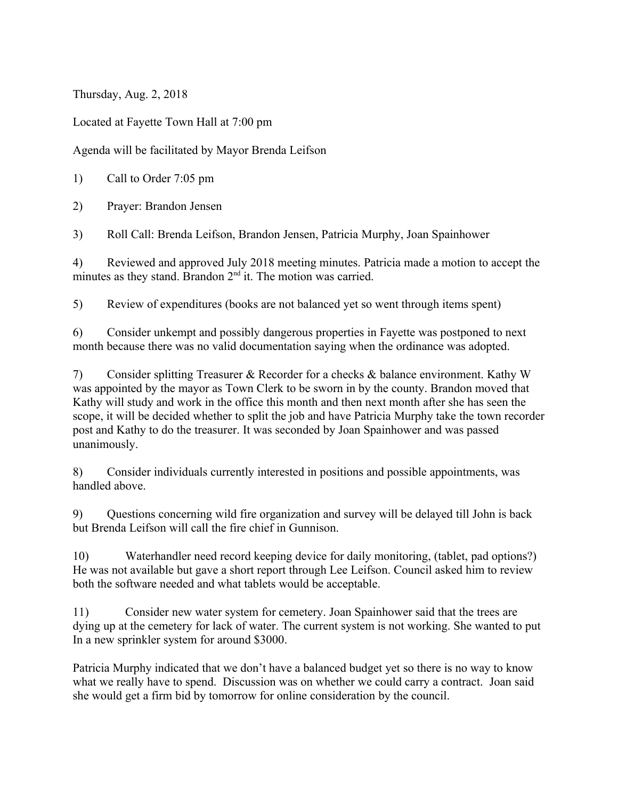Thursday, Aug. 2, 2018

Located at Fayette Town Hall at 7:00 pm

Agenda will be facilitated by Mayor Brenda Leifson

1) Call to Order 7:05 pm

2) Prayer: Brandon Jensen

3) Roll Call: Brenda Leifson, Brandon Jensen, Patricia Murphy, Joan Spainhower

4) Reviewed and approved July 2018 meeting minutes. Patricia made a motion to accept the minutes as they stand. Brandon  $2<sup>nd</sup>$  it. The motion was carried.

5) Review of expenditures (books are not balanced yet so went through items spent)

6) Consider unkempt and possibly dangerous properties in Fayette was postponed to next month because there was no valid documentation saying when the ordinance was adopted.

7) Consider splitting Treasurer & Recorder for a checks & balance environment. Kathy W was appointed by the mayor as Town Clerk to be sworn in by the county. Brandon moved that Kathy will study and work in the office this month and then next month after she has seen the scope, it will be decided whether to split the job and have Patricia Murphy take the town recorder post and Kathy to do the treasurer. It was seconded by Joan Spainhower and was passed unanimously.

8) Consider individuals currently interested in positions and possible appointments, was handled above.

9) Questions concerning wild fire organization and survey will be delayed till John is back but Brenda Leifson will call the fire chief in Gunnison.

10) Waterhandler need record keeping device for daily monitoring, (tablet, pad options?) He was not available but gave a short report through Lee Leifson. Council asked him to review both the software needed and what tablets would be acceptable.

11) Consider new water system for cemetery. Joan Spainhower said that the trees are dying up at the cemetery for lack of water. The current system is not working. She wanted to put In a new sprinkler system for around \$3000.

Patricia Murphy indicated that we don't have a balanced budget yet so there is no way to know what we really have to spend. Discussion was on whether we could carry a contract. Joan said she would get a firm bid by tomorrow for online consideration by the council.